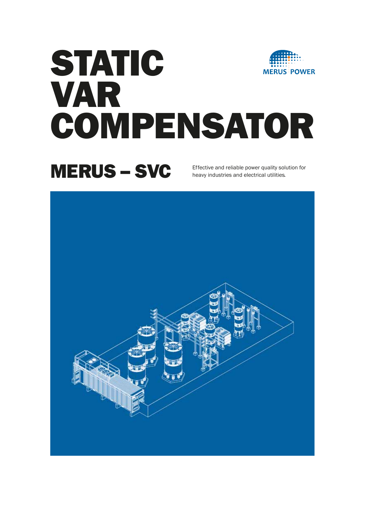# STATIC **MERUS POWER** VAR COMPENSATOR

### MERUS – SVC

Effective and reliable power quality solution for heavy industries and electrical utilities.

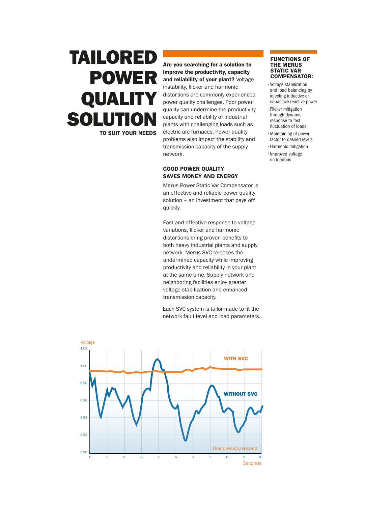### TAILORED POWER QUALITY **SOLUTION** TO SUIT YOUR NEEDS

Are you searching for a solution to improve the productivity, capacity and reliability of your plant? Voltage instability, flicker and harmonic distortions are commonly experienced power quality challenges. Poor power quality can undermine the productivity, capacity and reliability of industrial plants with challenging loads such as electric arc furnaces. Power quality problems also impact the stability and transmission capacity of the supply network.

#### GOOD POWER QUALITY SAVES MONEY AND ENERGY

Merus Power Static Var Compensator is an effective and reliable power quality solution – an investment that pays off quickly.

Fast and effective response to voltage variations, flicker and harmonic distortions bring proven benefits to both heavy industrial plants and supply network. Merus SVC releases the undermined capacity while improving productivity and reliability in your plant at the same time. Supply network and neighboring facilities enjoy greater voltage stabilization and enhanced transmission capacity.

Each SVC system is tailor-made to fit the network fault level and load parameters.

• Voltage stabilization and load balancing by injecting inductive or COMPENSATOR:

FUNCTIONS OF THE MERUS STATIC VAR

- capacitive reactive power • Flicker mitigation through dynamic response to fast fluctuation of loads
- Maintaining of power
- factor to desired levels • Harmonic mitigation
- Improved voltage on loadbus

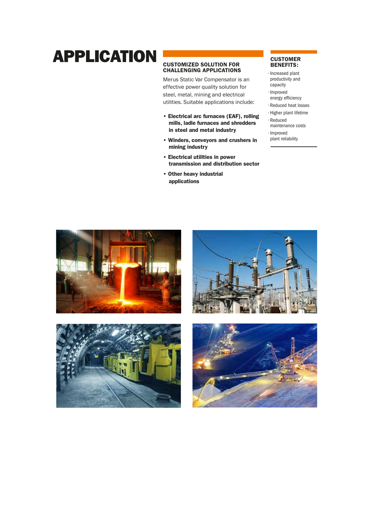### APPLICATION CUSTOMIZED SOLUTION FOR CUSTOMER

#### CUSTOMIZED SOLUTION FOR CHALLENGING APPLICATIONS

Merus Static Var Compensator is an effective power quality solution for steel, metal, mining and electrical utilities. Suitable applications include:

- Electrical arc furnaces (EAF), rolling mills, ladle furnaces and shredders in steel and metal industry
- Winders, conveyors and crushers in mining industry
- Electrical utilities in power transmission and distribution sector
- Other heavy industrial applications

### BENEFITS:

• Increased plant productivity and

- capacity
- Improved energy efficiency
- Reduced heat losses
- Higher plant lifetime
- Reduced
- maintenance costs

• Improved plant reliability







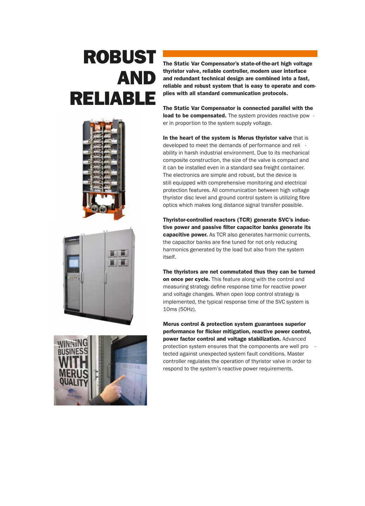## ROBUST AND RELIABLE







The Static Var Compensator's state-of-the-art high voltage thyristor valve, reliable controller, modern user interface and redundant technical design are combined into a fast, reliable and robust system that is easy to operate and complies with all standard communication protocols.

The Static Var Compensator is connected parallel with the load to be compensated. The system provides reactive pow er in proportion to the system supply voltage.

In the heart of the system is Merus thyristor valve that is developed to meet the demands of performance and reli ability in harsh industrial environment. Due to its mechanical composite construction, the size of the valve is compact and it can be installed even in a standard sea freight container. The electronics are simple and robust, but the device is still equipped with comprehensive monitoring and electrical protection features. All communication between high voltage thyristor disc level and ground control system is utilizing fibre optics which makes long distance signal transfer possible.

Thyristor-controlled reactors (TCR) generate SVC's inductive power and passive filter capacitor banks generate its capacitive power. As TCR also generates harmonic currents, the capacitor banks are fine tuned for not only reducing harmonics generated by the load but also from the system itself.

The thyristors are net commutated thus they can be turned on once per cycle. This feature along with the control and measuring strategy define response time for reactive power and voltage changes. When open loop control strategy is implemented, the typical response time of the SVC system is 10ms (50Hz).

Merus control & protection system guarantees superior performance for flicker mitigation, reactive power control, power factor control and voltage stabilization. Advanced protection system ensures that the components are well pro tected against unexpected system fault conditions. Master controller regulates the operation of thyristor valve in order to respond to the system's reactive power requirements.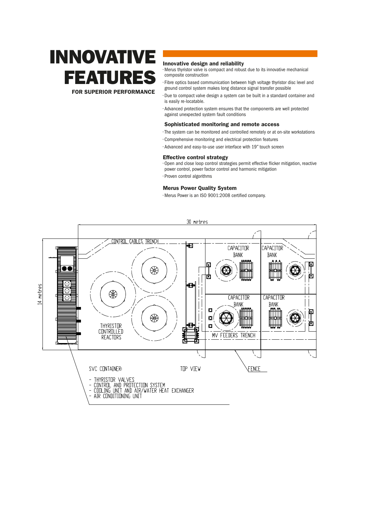## INNOVATIVE **FEATURE**

FOR SUPERIOR PERFORMANCE

#### Innovative design and reliability

• Merus thyristor valve is compact and robust due to its innovative mechanical composite construction

• Fibre optics based communication between high voltage thyristor disc level and ground control system makes long distance signal transfer possible

- Due to compact valve design a system can be built in a standard container and is easily re-locatable.
- Advanced protection system ensures that the components are well protected against unexpected system fault conditions

#### Sophisticated monitoring and remote access

- The system can be monitored and controlled remotely or at on-site workstations
- Comprehensive monitoring and electrical protection features
- Advanced and easy-to-use user interface with 19" touch screen

#### Effective control strategy

 $\cdot$  Open and close loop control strategies permit effective flicker mitigation, reactive power control, power factor control and harmonic mitigation

• Proven control algorithms

#### Merus Power Quality System

· Merus Power is an ISO 9001:2008 certified company.

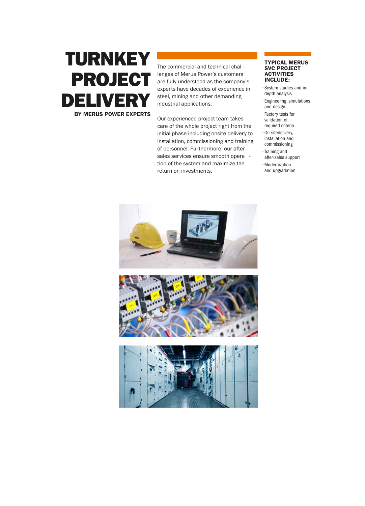### TURNKEY PROJECT DELIVE BY MERUS POWER EXPERTS

The commercial and technical chal lenges of Merus Power's customers are fully understood as the company's experts have decades of experience in steel, mining and other demanding industrial applications.

Our experienced project team takes care of the whole project right from the initial phase including onsite delivery to installation, commissioning and training of personnel. Furthermore, our aftersales services ensure smooth opera tion of the system and maximize the return on investments.

#### TYPICAL MERUS SVC PROJECT ACTIVITIES INCLUDE:

• System studies and indepth analysis • Engineering, simulations

and design • Factory tests for

validation of required criteria

• On-sitedelivery, installation and commissioning

• Training and after-sales support

• Modernization and upgradation

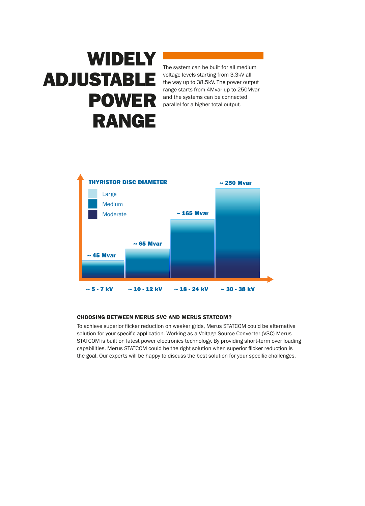## **WIDELY** ADJUSTABLE POWER RANGE

The system can be built for all medium voltage levels starting from 3.3kV all the way up to 38.5kV. The power output range starts from 4Mvar up to 250Mvar and the systems can be connected parallel for a higher total output.



#### CHOOSING BETWEEN MERUS SVC AND MERUS STATCOM?

To achieve superior flicker reduction on weaker grids, Merus STATCOM could be alternative solution for your specific application. Working as a Voltage Source Converter (VSC) Merus STATCOM is built on latest power electronics technology. By providing short-term over loading capabilities, Merus STATCOM could be the right solution when superior flicker reduction is the goal. Our experts will be happy to discuss the best solution for your specific challenges.